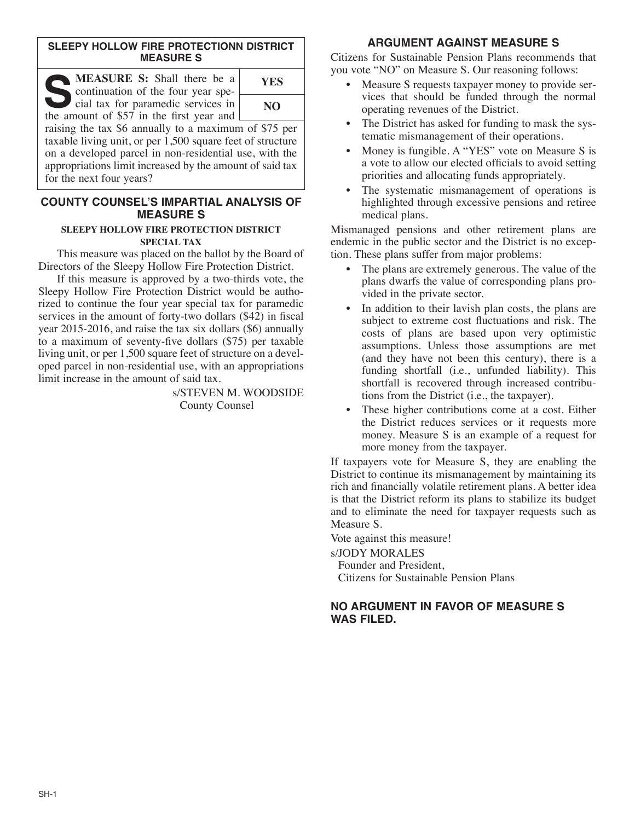## **SLEEPY HOLLOW FIRE PROTECTIONN DISTRICT MEASURE S**

| MEASURE S: Shall there be a<br>continuation of the four year spe-                | <b>YES</b> |
|----------------------------------------------------------------------------------|------------|
| cial tax for paramedic services in<br>the amount of \$57 in the first year and [ | NO.        |
| raising the tax $\&$ ennually to a maximum of $\&\,75$                           |            |

raising the tax \$6 annually to a maximum of \$75 per taxable living unit, or per 1,500 square feet of structure on a developed parcel in non-residential use, with the appropriations limit increased by the amount of said tax for the next four years?

## **COUNTY COUNSEL'S IMPARTIAL ANALYSIS OF MEASURE S**

#### **SLEEPY HOLLOW FIRE PROTECTION DISTRICT SPECIAL TAX**

This measure was placed on the ballot by the Board of Directors of the Sleepy Hollow Fire Protection District.

If this measure is approved by a two-thirds vote, the Sleepy Hollow Fire Protection District would be authorized to continue the four year special tax for paramedic services in the amount of forty-two dollars (\$42) in fiscal year 2015-2016, and raise the tax six dollars (\$6) annually to a maximum of seventy-five dollars (\$75) per taxable living unit, or per 1,500 square feet of structure on a developed parcel in non-residential use, with an appropriations limit increase in the amount of said tax.

s/STEVEN M. WOODSIDE County Counsel

# **ARGUMENT AGAINST MEASURE S**

Citizens for Sustainable Pension Plans recommends that you vote "NO" on Measure S. Our reasoning follows:

- Measure S requests taxpayer money to provide services that should be funded through the normal operating revenues of the District.
- The District has asked for funding to mask the systematic mismanagement of their operations.
- Money is fungible. A "YES" vote on Measure S is a vote to allow our elected officials to avoid setting priorities and allocating funds appropriately.
- The systematic mismanagement of operations is highlighted through excessive pensions and retiree medical plans.

Mismanaged pensions and other retirement plans are endemic in the public sector and the District is no exception. These plans suffer from major problems:

- The plans are extremely generous. The value of the plans dwarfs the value of corresponding plans provided in the private sector.
- In addition to their lavish plan costs, the plans are subject to extreme cost fluctuations and risk. The costs of plans are based upon very optimistic assumptions. Unless those assumptions are met (and they have not been this century), there is a funding shortfall (i.e., unfunded liability). This shortfall is recovered through increased contributions from the District (i.e., the taxpayer).
- These higher contributions come at a cost. Either the District reduces services or it requests more money. Measure S is an example of a request for more money from the taxpayer.

If taxpayers vote for Measure S, they are enabling the District to continue its mismanagement by maintaining its rich and financially volatile retirement plans. A better idea is that the District reform its plans to stabilize its budget and to eliminate the need for taxpayer requests such as Measure S.

Vote against this measure!

s/JODY MORALES

Founder and President, Citizens for Sustainable Pension Plans

# **NO ARGUMENT IN FAVOR OF MEASURE S WAS FILED.**